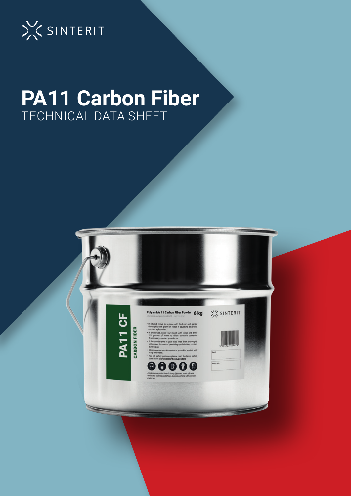

# **PA11 Carbon Fiber** TECHNICAL DATA SHEET

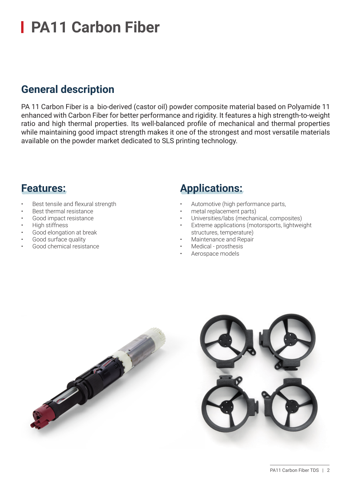### **General description**

PA 11 Carbon Fiber is a bio-derived (castor oil) powder composite material based on Polyamide 11 enhanced with Carbon Fiber for better performance and rigidity. It features a high strength-to-weight ratio and high thermal properties. Its well-balanced profile of mechanical and thermal properties while maintaining good impact strength makes it one of the strongest and most versatile materials available on the powder market dedicated to SLS printing technology.

### **Features:**

- Best tensile and flexural strength
- Best thermal resistance
- Good impact resistance
- High stiffness
- Good elongation at break
- Good surface quality
- Good chemical resistance

### **Applications:**

- Automotive (high performance parts,
- metal replacement parts)
- Universities/labs (mechanical, composites)
- Extreme applications (motorsports, lightweight structures, temperature)
- Maintenance and Repair
- Medical prosthesis
- Aerospace models

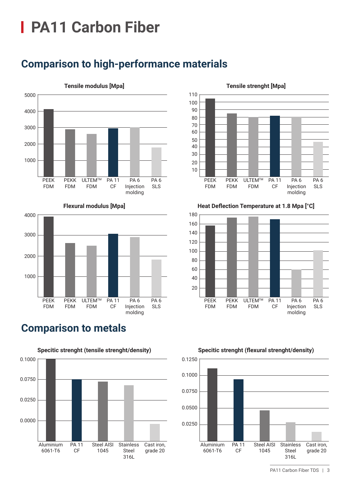

# **Comparison to high-performance materials**





### **Comparison to metals**





#### **Tensile strenght [Mpa]**

**Heat Deflection Temperature at 1.8 Mpa [°C]**





PA11 Carbon Fiber TDS | 3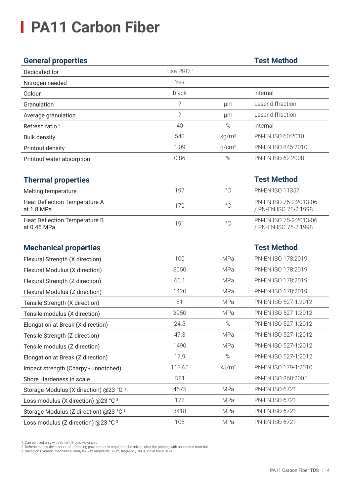### **General properties Test Method**

| Dedicated for                                  | Lisa PRO <sup>1</sup> |                   |                                                 |
|------------------------------------------------|-----------------------|-------------------|-------------------------------------------------|
| Nitrogen needed                                | Yes                   |                   |                                                 |
| Colour                                         | black                 |                   | internal                                        |
| Granulation                                    | $\overline{\cdot}$    | μm                | Laser diffraction                               |
| Average granulation                            | $\overline{?}$        | μm                | Laser diffraction                               |
| Refresh ratio <sup>2</sup>                     | 40                    | $\%$              | internal                                        |
| <b>Bulk density</b>                            | 540                   | kg/m <sup>3</sup> | PN-EN ISO 60:2010                               |
| Printout density                               | 1.09                  | g/cm <sup>3</sup> | PN-EN ISO 845:2010                              |
| Printout water absorption                      | 0.86                  | %                 | PN-EN ISO 62:2008                               |
|                                                |                       |                   |                                                 |
| <b>Thermal properties</b>                      |                       |                   | <b>Test Method</b>                              |
| Melting temperature                            | 197                   | $^{\circ}$ C      | <b>PN-EN ISO 11357</b>                          |
| Heat Deflection Temperature A<br>at 1.8 MPa    | 170                   | $^{\circ}$ C      | PN-EN ISO 75-2:2013-06<br>/ PN-EN ISO 75-2:1998 |
| Heat Deflection Temperature B<br>at 0.45 MPa   | 191                   | $^{\circ}$ C      | PN-EN ISO 75-2:2013-06<br>/ PN-EN ISO 75-2:1998 |
| <b>Mechanical properties</b>                   |                       |                   | <b>Test Method</b>                              |
| Flexural Strength (X direction)                | 100                   | MPa               | PN-EN ISO 178:2019                              |
| Flexural Modulus (X direction)                 | 3050                  | MPa               | PN-EN ISO 178:2019                              |
| Flexural Strength (Z direction)                | 66.1                  | MPa               | PN-EN ISO 178:2019                              |
| Flexural Modulus (Z direction)                 | 1420                  | MPa               | PN-EN ISO 178:2019                              |
| Tensile Strength (X direction)                 | 81                    | <b>MPa</b>        | PN-EN ISO 527-1:2012                            |
| Tensile modulus (X direction)                  | 2950                  | MPa               | PN-EN ISO 527-1:2012                            |
| Elongation at Break (X direction)              | 24.5                  | $\%$              | PN-EN ISO 527-1:2012                            |
| Tensile Strength (Z direction)                 | 47.3                  | MPa               | PN-EN ISO 527-1:2012                            |
| Tensile modulus (Z direction)                  | 1490                  | MPa               | PN-EN ISO 527-1:2012                            |
| Elongation at Break (Z direction)              | 17.9                  | $\%$              | PN-EN ISO 527-1:2012                            |
| Impact strength (Charpy - unnotched)           | 113.65                | kJ/m <sup>2</sup> | PN-EN ISO 179-1:2010                            |
| Shore Hardeness in scale                       | D81                   |                   | PN-EN ISO 868:2005                              |
| Storage Modulus (X direction) @23 °C 3         | 4575                  | MPa               | PN-EN ISO 6721                                  |
| Loss modulus (X direction) @23 °C <sup>3</sup> | 172                   | <b>MPa</b>        | PN-EN ISO 6721                                  |
| Storage Modulus (Z direction) @23 °C 3         | 3418                  | <b>MPa</b>        | PN-EN ISO 6721                                  |
| Loss modulus (Z direction) @23 °C 3            | 105                   | MPa               | PN-EN ISO 6721                                  |

1. Can be used only with Sinterit Studio Advanced.<br>2. Refresh ratio is the amount of refreshing powder that is required to be mixed after the printing with unsintered material.<br>3. Based on Dynamic mechanical analysis with